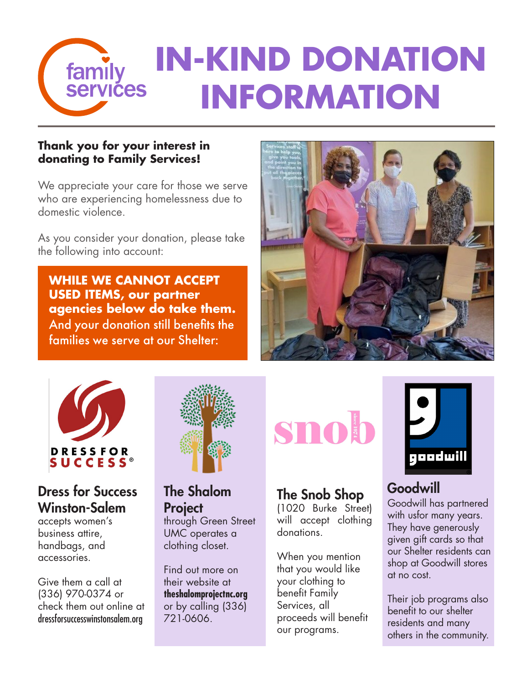

#### **Thank you for your interest in donating to Family Services!**

We appreciate your care for those we serve who are experiencing homelessness due to domestic violence.

As you consider your donation, please take the following into account:

**WHILE WE CANNOT ACCEPT USED ITEMS, our partner agencies below do take them.**  And your donation still benefits the families we serve at our Shelter:





#### Dress for Success Winston-Salem

accepts women's business attire, handbags, and accessories.

Give them a call at (336) 970-0374 or check them out online at dressforsuccesswinstonsalem.org



## The Shalom **Project**

through Green Street UMC operates a clothing closet.

Find out more on their website at **theshalomprojectnc.org**  or by calling (336) 721-0606.



### The Snob Shop

(1020 Burke Street) will accept clothing donations.

When you mention that you would like your clothing to benefit Family Services, all proceeds will benefit our programs.



#### Goodwill

Goodwill has partnered with usfor many years. They have generously given gift cards so that our Shelter residents can shop at Goodwill stores at no cost.

Their job programs also benefit to our shelter residents and many others in the community.